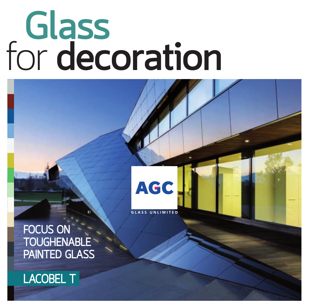# for **decoration Glass**

AGC

**GLASS UNLIMITED** 

**FOCUS ON TOUGHENABLE PAINTED GLASS**

#### **LACOBEL T**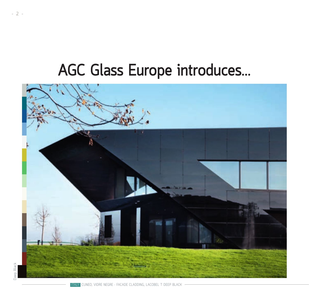### **AGC Glass Europe introduces...**



CUNEO, VIDRE NEGRE - FACADE CLADDING, LACOBEL T DEEP BLACK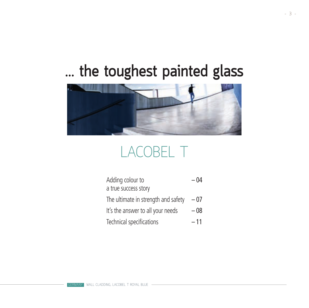### **... the toughest painted glass**



#### LACOBEL T

| Adding colour to                    | $-04$ |
|-------------------------------------|-------|
| a true success story                |       |
| The ultimate in strength and safety | $-07$ |
| It's the answer to all your needs   | $-08$ |
| Technical specifications            | $-11$ |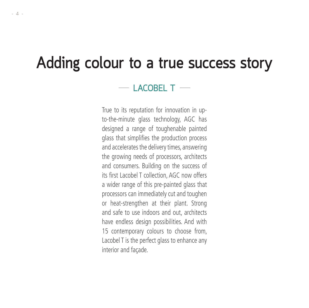#### **Adding colour to a true success story**



True to its reputation for innovation in upto-the-minute glass technology, AGC has designed a range of toughenable painted glass that simplifies the production process and accelerates the delivery times, answering the growing needs of processors, architects and consumers. Building on the success of its first Lacobel T collection, AGC now offers a wider range of this pre-painted glass that processors can immediately cut and toughen or heat-strengthen at their plant. Strong and safe to use indoors and out, architects have endless design possibilities. And with 15 contemporary colours to choose from, Lacobel T is the perfect glass to enhance any interior and façade.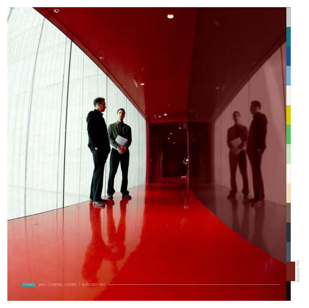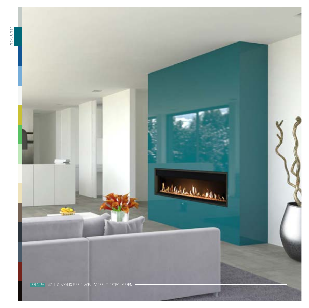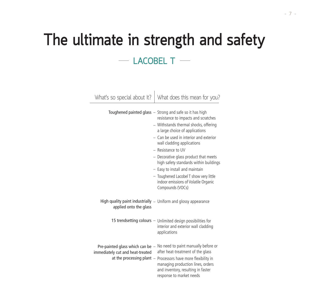#### **The ultimate in strength and safety LACOBEL T**

| What's so special about it?                                                                           | What does this mean for you?                                                                                                                                                                                                                                                                                                                                                                                                                                                                                |
|-------------------------------------------------------------------------------------------------------|-------------------------------------------------------------------------------------------------------------------------------------------------------------------------------------------------------------------------------------------------------------------------------------------------------------------------------------------------------------------------------------------------------------------------------------------------------------------------------------------------------------|
|                                                                                                       | Toughened painted glass $-$ Strong and safe so it has high<br>resistance to impacts and scratches<br>- Withstands thermal shocks, offering<br>a large choice of applications<br>- Can be used in interior and exterior<br>wall cladding applications<br>$-$ Resistance to UV<br>$-$ Decorative glass product that meets<br>high safety standards within buildings<br>$-$ Easy to install and maintain<br>- Toughened Lacobel T show very little<br>indoor emissions of Volatile Organic<br>Compounds (VOCs) |
| High quality paint industrially $-$ Uniform and glossy appearance<br>applied onto the glass           |                                                                                                                                                                                                                                                                                                                                                                                                                                                                                                             |
|                                                                                                       | 15 trendsetting colours - Unlimited design possibilities for<br>interior and exterior wall cladding<br>applications                                                                                                                                                                                                                                                                                                                                                                                         |
| Pre-painted glass which can be $-$<br>immediately cut and heat-treated<br>at the processing plant $-$ | No need to paint manually before or<br>after heat-treatment of the glass<br>Processors have more flexibility in<br>managing production lines, orders<br>and inventory, resulting in faster<br>response to market needs                                                                                                                                                                                                                                                                                      |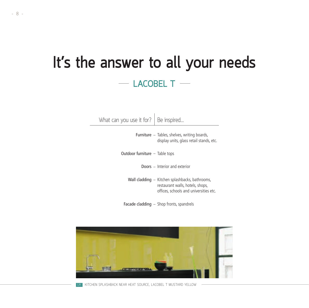### **It's the answer to all your needs**  $-$  **LACOBEL T** $-$





KITCHEN SPLASHBACK NEAR HEAT SOURCE, LACOBEL T MUSTARD YELLOW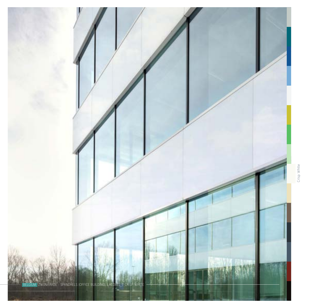

Crisp White Crisp White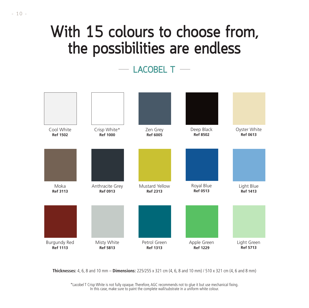#### **With 15 colours to choose from, the possibilities are endless**



**Thicknesses:** 4, 6, 8 and 10 mm – **Dimensions:** 225/255 x 321 cm (4, 6, 8 and 10 mm) / 510 x 321 cm (4, 6 and 8 mm)

\*Lacobel T Crisp White is not fully opaque. Therefore, AGC recommends not to glue it but use mechanical fixing. In this case, make sure to paint the complete wall/substrate in a uniform white colour.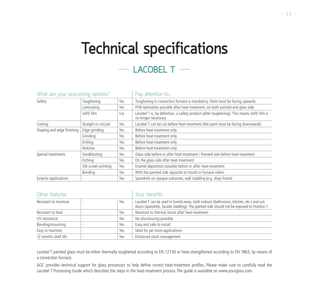## **Technical specifications**

#### **LACOBEL T**

| What are your processing options? |                      |     | Pay attention to                                                                                                 |
|-----------------------------------|----------------------|-----|------------------------------------------------------------------------------------------------------------------|
| Safety                            | Toughening           | Yes | Toughening in convection furnace is mandatory. Paint must be facing upwards                                      |
|                                   | Laminating           | Yes | PVB lamination possible after heat-treatment, on both painted and glass side                                     |
|                                   | SAFE film            | n/a | Lacobel T is, by definition, a safety product (after toughening). This means SAFE film is<br>no longer necessary |
| Cutting                           | Straight or circular | Yes | Lacobel T can be cut before heat-treatment (the paint must be facing downwards)                                  |
| Shaping and edge finishing        | Edge grinding        | Yes | Before heat-treatment only                                                                                       |
|                                   | Grinding             | Yes | Before heat-treatment only                                                                                       |
|                                   | Drilling             | Yes | Before heat-treatment only                                                                                       |
|                                   | <b>Notches</b>       | Yes | Before heat-treatment only                                                                                       |
| Special treatments                | Sandblasting         | Yes | Glass side before or after heat-treatment / Painted side before heat-treatment                                   |
|                                   | Etching              | Yes | On the glass side after heat-treatment                                                                           |
|                                   | Silk screen printing | Yes | Enamel deposition possible before or after heat-treatment                                                        |
|                                   | Bending              | Yes | With the painted side opposite to mould or furnace rollers                                                       |
| <b>Exterior applications</b>      |                      | Yes | Spandrels on opaque substrate, wall cladding (e.g. shop fronts)                                                  |

| Other features        |     | Your benefits                                                                                                                                                                      |
|-----------------------|-----|------------------------------------------------------------------------------------------------------------------------------------------------------------------------------------|
| Resistant to moisture | Yes | Lacobel T can be used in humid areas, both indoors (bathrooms, kitchen, etc.) and out-<br>doors (spandrels, facade cladding). The painted side should not be exposed to Position 1 |
| Resistant to heat     | Yes | Resistant to thermal shock after heat-treatment                                                                                                                                    |
| UV resistance         | Yes | No discolouring possible                                                                                                                                                           |
| Bonding/mounting      | Yes | Easy and safe to install                                                                                                                                                           |
| Easy to maintain      | Yes | Ideal for yet more applications                                                                                                                                                    |
| 12 months shelf life  | Yes | Enhanced stock management                                                                                                                                                          |

Lacobel T painted glass must be either thermally toughened according to EN 12150 or heat-strengthened according to EN 1863, by means of a convection furnace.

AGC provides technical support for glass processors to help define correct heat-treatment profiles. Please make sure to carefully read the Lacobel T Processing Guide which describes the steps in the heat-treatment process. The guide is available on www.yourglass.com.